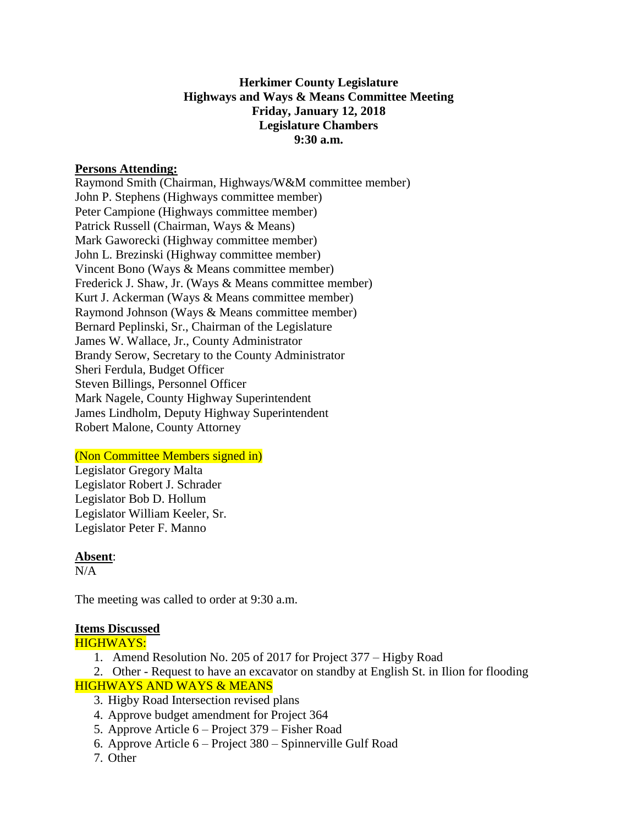## **Herkimer County Legislature Highways and Ways & Means Committee Meeting Friday, January 12, 2018 Legislature Chambers 9:30 a.m.**

### **Persons Attending:**

Raymond Smith (Chairman, Highways/W&M committee member) John P. Stephens (Highways committee member) Peter Campione (Highways committee member) Patrick Russell (Chairman, Ways & Means) Mark Gaworecki (Highway committee member) John L. Brezinski (Highway committee member) Vincent Bono (Ways & Means committee member) Frederick J. Shaw, Jr. (Ways & Means committee member) Kurt J. Ackerman (Ways & Means committee member) Raymond Johnson (Ways & Means committee member) Bernard Peplinski, Sr., Chairman of the Legislature James W. Wallace, Jr., County Administrator Brandy Serow, Secretary to the County Administrator Sheri Ferdula, Budget Officer Steven Billings, Personnel Officer Mark Nagele, County Highway Superintendent James Lindholm, Deputy Highway Superintendent Robert Malone, County Attorney

#### (Non Committee Members signed in)

Legislator Gregory Malta Legislator Robert J. Schrader Legislator Bob D. Hollum Legislator William Keeler, Sr. Legislator Peter F. Manno

#### **Absent**:

 $N/A$ 

The meeting was called to order at 9:30 a.m.

#### **Items Discussed**

HIGHWAYS:

- 1. Amend Resolution No. 205 of 2017 for Project 377 Higby Road
- 2. Other Request to have an excavator on standby at English St. in Ilion for flooding

## HIGHWAYS AND WAYS & MEANS

- 3. Higby Road Intersection revised plans
- 4. Approve budget amendment for Project 364
- 5. Approve Article 6 Project 379 Fisher Road
- 6. Approve Article 6 Project 380 Spinnerville Gulf Road
- 7. Other